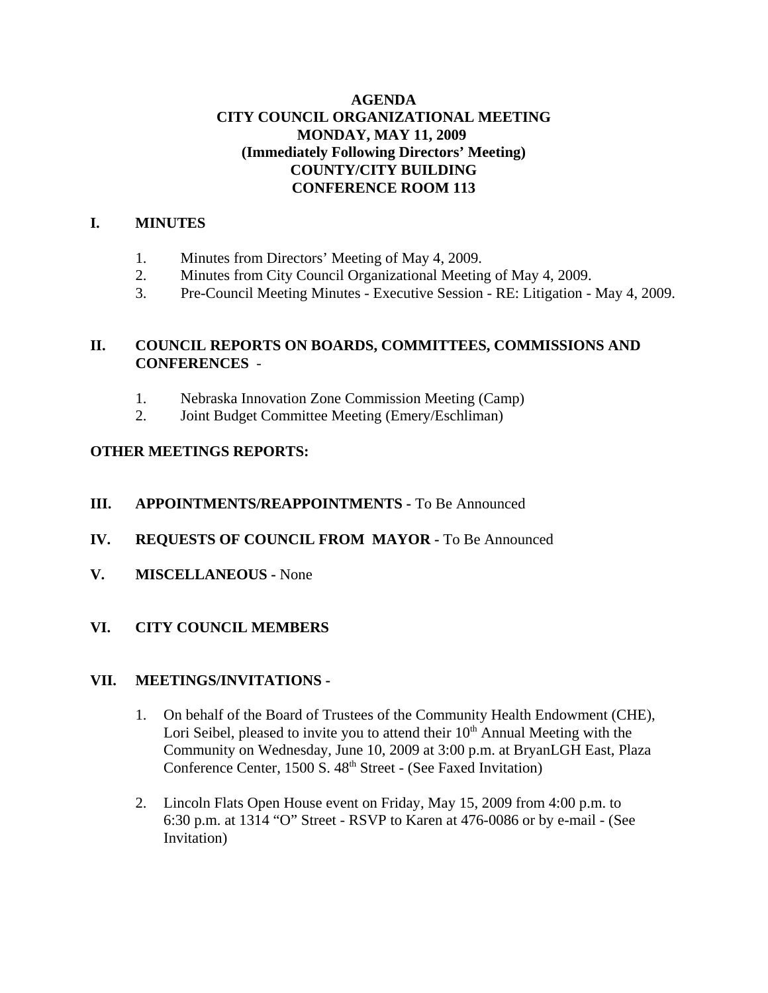## **AGENDA CITY COUNCIL ORGANIZATIONAL MEETING MONDAY, MAY 11, 2009 (Immediately Following Directors' Meeting) COUNTY/CITY BUILDING CONFERENCE ROOM 113**

## **I. MINUTES**

- 1. Minutes from Directors' Meeting of May 4, 2009.
- 2. Minutes from City Council Organizational Meeting of May 4, 2009.
- 3. Pre-Council Meeting Minutes Executive Session RE: Litigation May 4, 2009.

# **II. COUNCIL REPORTS ON BOARDS, COMMITTEES, COMMISSIONS AND CONFERENCES** -

- 1. Nebraska Innovation Zone Commission Meeting (Camp)
- 2. Joint Budget Committee Meeting (Emery/Eschliman)

## **OTHER MEETINGS REPORTS:**

## **III. APPOINTMENTS/REAPPOINTMENTS -** To Be Announced

- **IV. REQUESTS OF COUNCIL FROM MAYOR -** To Be Announced
- **V. MISCELLANEOUS -** None

## **VI. CITY COUNCIL MEMBERS**

## **VII. MEETINGS/INVITATIONS -**

- 1. On behalf of the Board of Trustees of the Community Health Endowment (CHE), Lori Seibel, pleased to invite you to attend their  $10<sup>th</sup>$  Annual Meeting with the Community on Wednesday, June 10, 2009 at 3:00 p.m. at BryanLGH East, Plaza Conference Center, 1500 S. 48<sup>th</sup> Street - (See Faxed Invitation)
- 2. Lincoln Flats Open House event on Friday, May 15, 2009 from 4:00 p.m. to 6:30 p.m. at 1314 "O" Street - RSVP to Karen at 476-0086 or by e-mail - (See Invitation)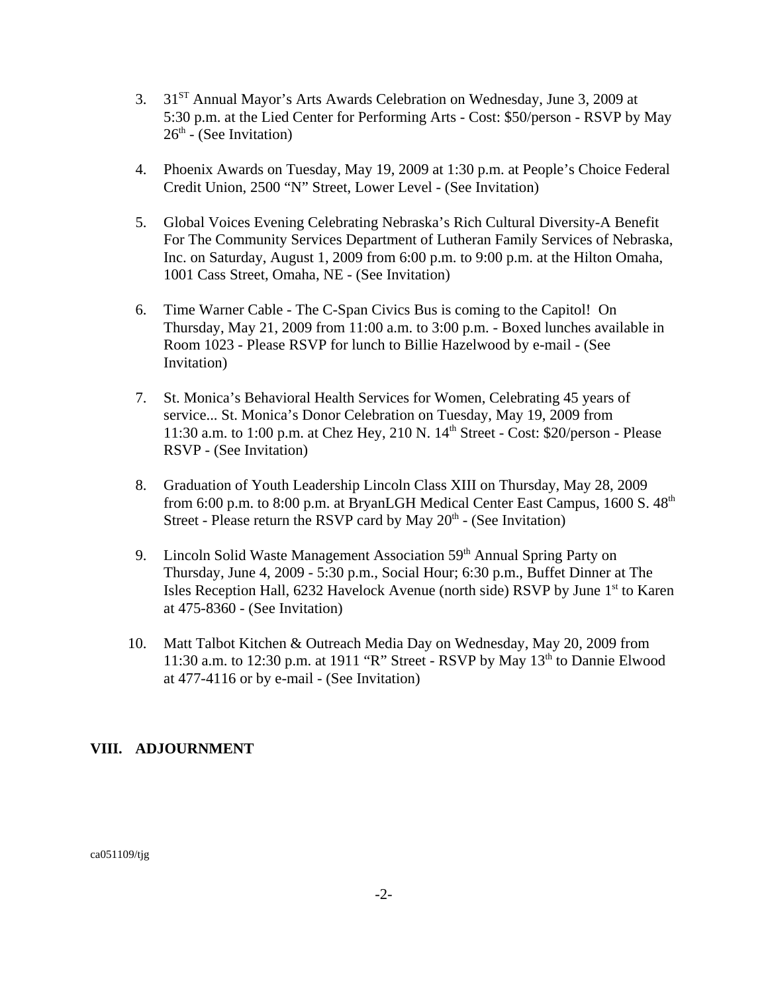- 3. 31ST Annual Mayor's Arts Awards Celebration on Wednesday, June 3, 2009 at 5:30 p.m. at the Lied Center for Performing Arts - Cost: \$50/person - RSVP by May  $26<sup>th</sup>$  - (See Invitation)
- 4. Phoenix Awards on Tuesday, May 19, 2009 at 1:30 p.m. at People's Choice Federal Credit Union, 2500 "N" Street, Lower Level - (See Invitation)
- 5. Global Voices Evening Celebrating Nebraska's Rich Cultural Diversity-A Benefit For The Community Services Department of Lutheran Family Services of Nebraska, Inc. on Saturday, August 1, 2009 from 6:00 p.m. to 9:00 p.m. at the Hilton Omaha, 1001 Cass Street, Omaha, NE - (See Invitation)
- 6. Time Warner Cable The C-Span Civics Bus is coming to the Capitol! On Thursday, May 21, 2009 from 11:00 a.m. to 3:00 p.m. - Boxed lunches available in Room 1023 - Please RSVP for lunch to Billie Hazelwood by e-mail - (See Invitation)
- 7. St. Monica's Behavioral Health Services for Women, Celebrating 45 years of service... St. Monica's Donor Celebration on Tuesday, May 19, 2009 from 11:30 a.m. to 1:00 p.m. at Chez Hey, 210 N.  $14<sup>th</sup>$  Street - Cost: \$20/person - Please RSVP - (See Invitation)
- 8. Graduation of Youth Leadership Lincoln Class XIII on Thursday, May 28, 2009 from 6:00 p.m. to 8:00 p.m. at BryanLGH Medical Center East Campus, 1600 S. 48<sup>th</sup> Street - Please return the RSVP card by May  $20<sup>th</sup>$  - (See Invitation)
- 9. Lincoln Solid Waste Management Association 59<sup>th</sup> Annual Spring Party on Thursday, June 4, 2009 - 5:30 p.m., Social Hour; 6:30 p.m., Buffet Dinner at The Isles Reception Hall, 6232 Havelock Avenue (north side) RSVP by June 1<sup>st</sup> to Karen at 475-8360 - (See Invitation)
- 10. Matt Talbot Kitchen & Outreach Media Day on Wednesday, May 20, 2009 from 11:30 a.m. to 12:30 p.m. at 1911 "R" Street - RSVP by May  $13<sup>th</sup>$  to Dannie Elwood at 477-4116 or by e-mail - (See Invitation)

## **VIII. ADJOURNMENT**

ca051109/tjg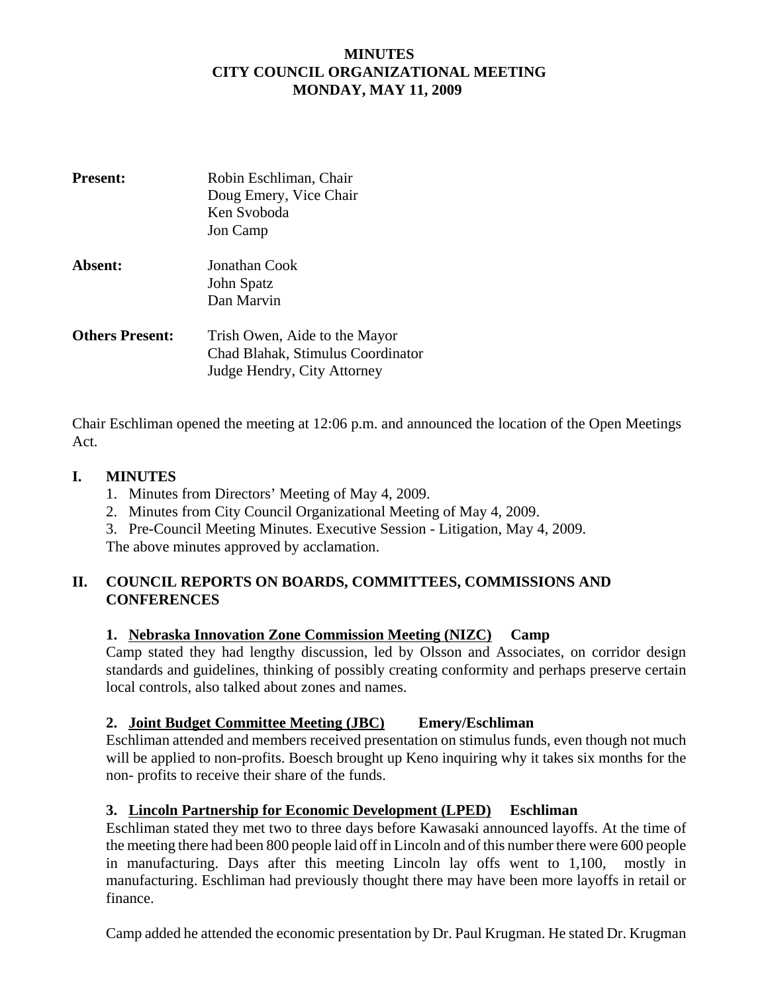## **MINUTES CITY COUNCIL ORGANIZATIONAL MEETING MONDAY, MAY 11, 2009**

| <b>Present:</b>        | Robin Eschliman, Chair<br>Doug Emery, Vice Chair<br>Ken Svoboda<br>Jon Camp |
|------------------------|-----------------------------------------------------------------------------|
| Absent:                | Jonathan Cook                                                               |
|                        | John Spatz<br>Dan Marvin                                                    |
| <b>Others Present:</b> | Trish Owen, Aide to the Mayor                                               |
|                        | Chad Blahak, Stimulus Coordinator                                           |
|                        | Judge Hendry, City Attorney                                                 |

Chair Eschliman opened the meeting at 12:06 p.m. and announced the location of the Open Meetings Act.

### **I. MINUTES**

- 1. Minutes from Directors' Meeting of May 4, 2009.
- 2. Minutes from City Council Organizational Meeting of May 4, 2009.
- 3. Pre-Council Meeting Minutes. Executive Session Litigation, May 4, 2009.

The above minutes approved by acclamation.

## **II. COUNCIL REPORTS ON BOARDS, COMMITTEES, COMMISSIONS AND CONFERENCES**

### **1. Nebraska Innovation Zone Commission Meeting (NIZC) Camp**

Camp stated they had lengthy discussion, led by Olsson and Associates, on corridor design standards and guidelines, thinking of possibly creating conformity and perhaps preserve certain local controls, also talked about zones and names.

#### **2. Joint Budget Committee Meeting (JBC) Emery/Eschliman**

Eschliman attended and members received presentation on stimulus funds, even though not much will be applied to non-profits. Boesch brought up Keno inquiring why it takes six months for the non- profits to receive their share of the funds.

## **3. Lincoln Partnership for Economic Development (LPED) Eschliman**

Eschliman stated they met two to three days before Kawasaki announced layoffs. At the time of the meeting there had been 800 people laid off in Lincoln and of this number there were 600 people in manufacturing. Days after this meeting Lincoln lay offs went to 1,100, mostly in manufacturing. Eschliman had previously thought there may have been more layoffs in retail or finance.

Camp added he attended the economic presentation by Dr. Paul Krugman. He stated Dr. Krugman